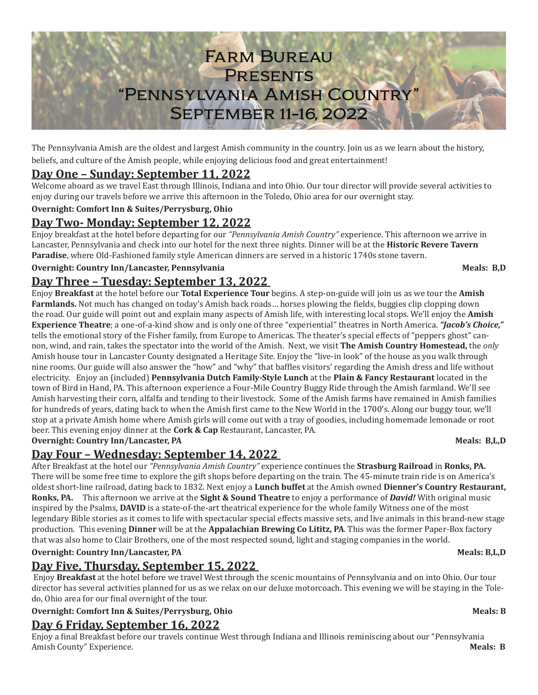

The Pennsylvania Amish are the oldest and largest Amish community in the country. Join us as we learn about the history, beliefs, and culture of the Amish people, while enjoying delicious food and great entertainment!

# **Day One – Sunday: September 11, 2022**

Welcome aboard as we travel East through Illinois, Indiana and into Ohio. Our tour director will provide several activities to enjoy during our travels before we arrive this afternoon in the Toledo, Ohio area for our overnight stay.

### **Overnight: Comfort Inn & Suites/Perrysburg, Ohio**

# **Day Two- Monday: September 12, 2022**

Enjoy breakfast at the hotel before departing for our *"Pennsylvania Amish Country"* experience. This afternoon we arrive in Lancaster, Pennsylvania and check into our hotel for the next three nights. Dinner will be at the **Historic Revere Tavern Paradise**, where Old-Fashioned family style American dinners are served in a historic 1740s stone tavern.

### **Overnight: Country Inn/Lancaster, Pennsylvania Meals: B,D** Meals: B,D

## **Day Three – Tuesday: September 13, 2022**

Enjoy **Breakfast** at the hotel before our **Total Experience Tour** begins. A step-on-guide will join us as we tour the **Amish Farmlands.** Not much has changed on today's Amish back roads… horses plowing the fields, buggies clip clopping down the road. Our guide will point out and explain many aspects of Amish life, with interesting local stops. We'll enjoy the **Amish Experience Theatre**; a one-of-a-kind show and is only one of three "experiential" theatres in North America. *"Jacob's Choice,"*  tells the emotional story of the Fisher family, from Europe to Americas. The theater's special effects of "peppers ghost" cannon, wind, and rain, takes the spectator into the world of the Amish. Next, we visit **The Amish Country Homestead,** the *only* Amish house tour in Lancaster County designated a Heritage Site. Enjoy the "live-in look" of the house as you walk through nine rooms. Our guide will also answer the "how" and "why" that baffles visitors' regarding the Amish dress and life without electricity. Enjoy an (included) **Pennsylvania Dutch Family-Style Lunch** at the **Plain & Fancy Restaurant** located in the town of Bird in Hand, PA. This afternoon experience a Four-Mile Country Buggy Ride through the Amish farmland. We'll see Amish harvesting their corn, alfalfa and tending to their livestock. Some of the Amish farms have remained in Amish families for hundreds of years, dating back to when the Amish first came to the New World in the 1700's. Along our buggy tour, we'll stop at a private Amish home where Amish girls will come out with a tray of goodies, including homemade lemonade or root beer. This evening enjoy dinner at the **Cork & Cap** Restaurant, Lancaster, PA.

#### **Overnight: Country Inn/Lancaster, PA** Meals: B,L,D

# **Day Four – Wednesday: September 14, 2022**

After Breakfast at the hotel our *"Pennsylvania Amish Country"* experience continues the **Strasburg Railroad** in **Ronks, PA.**  There will be some free time to explore the gift shops before departing on the train. The 45-minute train ride is on America's oldest short-line railroad, dating back to 1832. Next enjoy a **Lunch buffet** at the Amish owned **Dienner's Country Restaurant, Ronks, PA.** This afternoon we arrive at the **Sight & Sound Theatre** to enjoy a performance of *David!* With original music inspired by the Psalms, **DAVID** is a state-of-the-art theatrical experience for the whole family Witness one of the most legendary Bible stories as it comes to life with spectacular special effects massive sets, and live animals in this brand-new stage production. This evening **Dinner** will be at the **Appalachian Brewing Co Lititz, PA**. This was the former Paper-Box factory that was also home to Clair Brothers, one of the most respected sound, light and staging companies in the world.

### **Overnight: Country Inn/Lancaster, PA** Meals: B,L,D

### **Day Five, Thursday, September 15, 2022**

 Enjoy **Breakfast** at the hotel before we travel West through the scenic mountains of Pennsylvania and on into Ohio. Our tour director has several activities planned for us as we relax on our deluxe motorcoach. This evening we will be staying in the Toledo, Ohio area for our final overnight of the tour.

### **Overnight: Comfort Inn & Suites/Perrysburg, Ohio Meals: B**

### **Day 6 Friday, September 16, 2022**

Enjoy a final Breakfast before our travels continue West through Indiana and Illinois reminiscing about our "Pennsylvania Amish County" Experience.